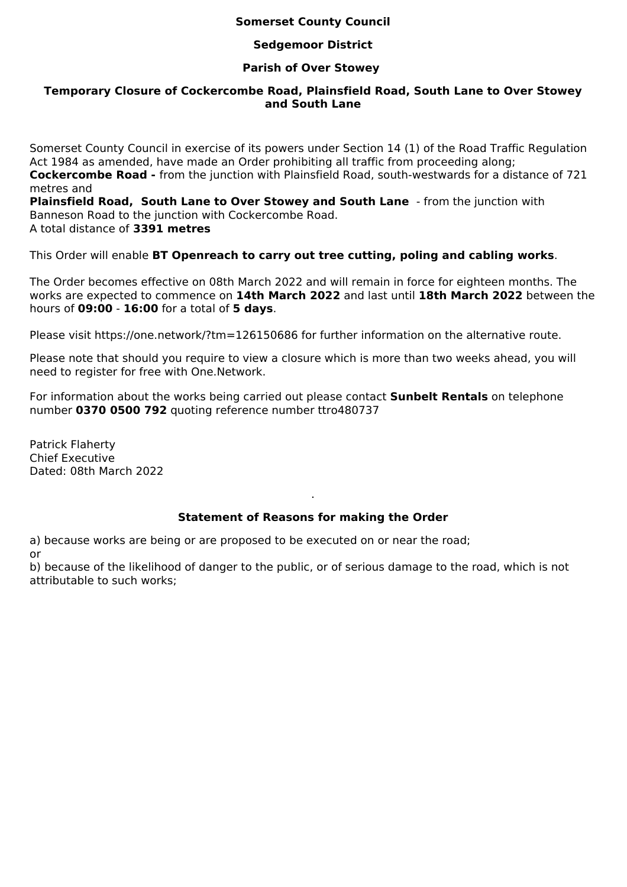# **Somerset County Council**

# **Sedgemoor District**

## **Parish of Over Stowey**

# **Temporary Closure of Cockercombe Road, Plainsfield Road, South Lane to Over Stowey and South Lane**

Somerset County Council in exercise of its powers under Section 14 (1) of the Road Traffic Regulation Act 1984 as amended, have made an Order prohibiting all traffic from proceeding along; **Cockercombe Road -** from the junction with Plainsfield Road, south-westwards for a distance of 721 metres and

**Plainsfield Road, South Lane to Over Stowey and South Lane** - from the junction with Banneson Road to the junction with Cockercombe Road. A total distance of **3391 metres**

This Order will enable **BT Openreach to carry out tree cutting, poling and cabling works**.

The Order becomes effective on 08th March 2022 and will remain in force for eighteen months. The works are expected to commence on **14th March 2022** and last until **18th March 2022** between the hours of **09:00** - **16:00** for a total of **5 days**.

Please visit https://one.network/?tm=126150686 for further information on the alternative route.

Please note that should you require to view a closure which is more than two weeks ahead, you will need to register for free with One.Network.

For information about the works being carried out please contact **Sunbelt Rentals** on telephone number **0370 0500 792** quoting reference number ttro480737

Patrick Flaherty Chief Executive Dated: 08th March 2022

### **Statement of Reasons for making the Order**

.

a) because works are being or are proposed to be executed on or near the road; or

b) because of the likelihood of danger to the public, or of serious damage to the road, which is not attributable to such works;